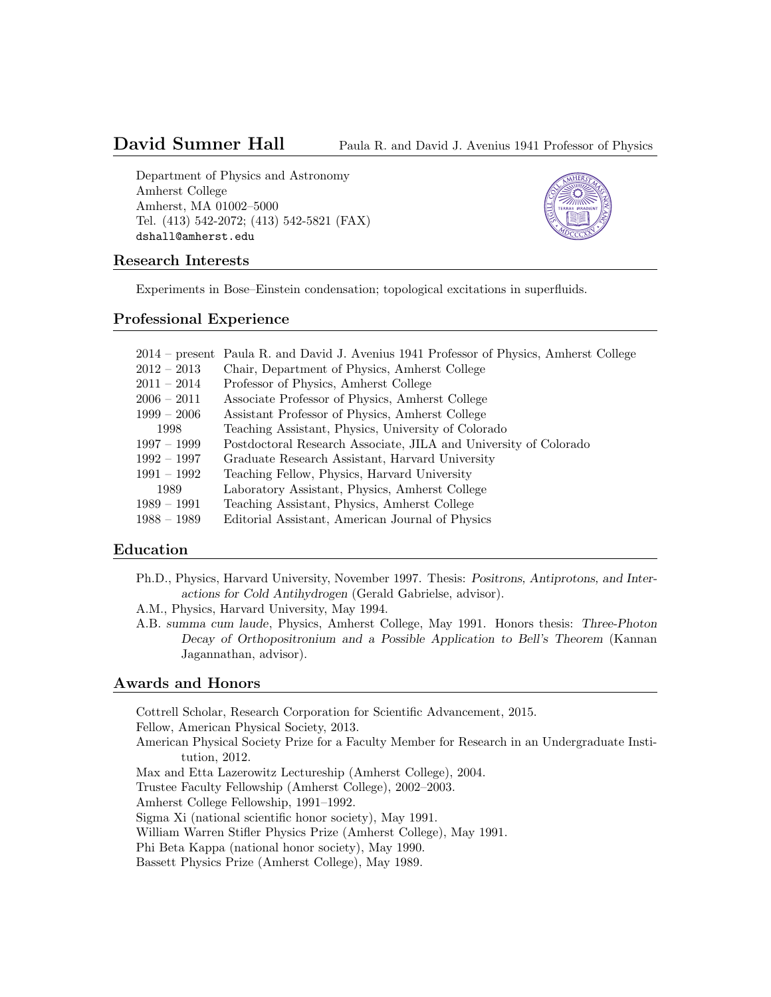# David Sumner Hall Paula R. and David J. Avenius 1941 Professor of Physics

Department of Physics and Astronomy Amherst College Amherst, MA 01002–5000 Tel. (413) 542-2072; (413) 542-5821 (FAX) dshall@amherst.edu



#### Research Interests

Experiments in Bose–Einstein condensation; topological excitations in superfluids.

#### Professional Experience

|               | 2014 – present Paula R. and David J. Avenius 1941 Professor of Physics, Amherst College |
|---------------|-----------------------------------------------------------------------------------------|
| $2012-2013$   | Chair, Department of Physics, Amherst College                                           |
| $2011-2014$   | Professor of Physics, Amherst College                                                   |
| $2006-2011$   | Associate Professor of Physics, Amherst College                                         |
| $1999 - 2006$ | Assistant Professor of Physics, Amherst College                                         |
| 1998          | Teaching Assistant, Physics, University of Colorado                                     |
| 1997 – 1999   | Postdoctoral Research Associate, JILA and University of Colorado                        |
| $1992 - 1997$ | Graduate Research Assistant, Harvard University                                         |
| 1991 – 1992   | Teaching Fellow, Physics, Harvard University                                            |
| 1989          | Laboratory Assistant, Physics, Amherst College                                          |
| 1989 – 1991   | Teaching Assistant, Physics, Amherst College                                            |
| 1988 – 1989   | Editorial Assistant, American Journal of Physics                                        |

# Education

- Ph.D., Physics, Harvard University, November 1997. Thesis: Positrons, Antiprotons, and Interactions for Cold Antihydrogen (Gerald Gabrielse, advisor).
- A.M., Physics, Harvard University, May 1994.
- A.B. summa cum laude, Physics, Amherst College, May 1991. Honors thesis: Three-Photon Decay of Orthopositronium and a Possible Application to Bell's Theorem (Kannan Jagannathan, advisor).

# Awards and Honors

Cottrell Scholar, Research Corporation for Scientific Advancement, 2015.

Fellow, American Physical Society, 2013.

American Physical Society Prize for a Faculty Member for Research in an Undergraduate Institution, 2012.

- Max and Etta Lazerowitz Lectureship (Amherst College), 2004.
- Trustee Faculty Fellowship (Amherst College), 2002–2003.
- Amherst College Fellowship, 1991–1992.

Sigma Xi (national scientific honor society), May 1991.

William Warren Stifler Physics Prize (Amherst College), May 1991.

Phi Beta Kappa (national honor society), May 1990.

Bassett Physics Prize (Amherst College), May 1989.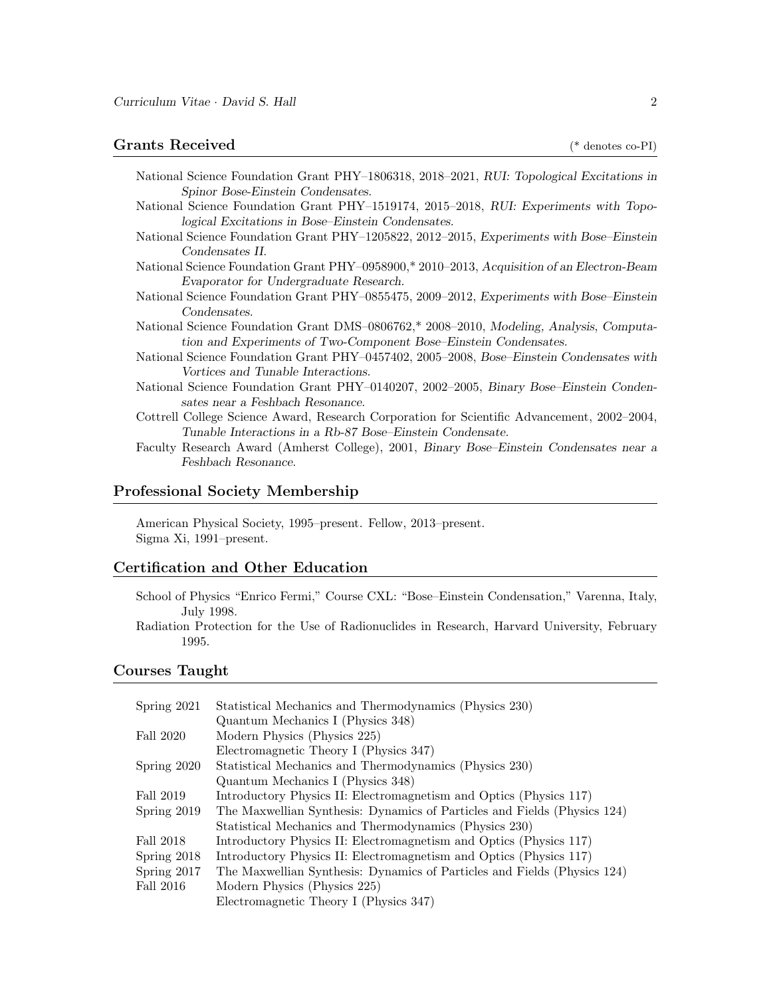# Grants Received (\* denotes co-PI)

National Science Foundation Grant PHY–1806318, 2018–2021, RUI: Topological Excitations in Spinor Bose-Einstein Condensates. National Science Foundation Grant PHY–1519174, 2015–2018, RUI: Experiments with Topo-

logical Excitations in Bose–Einstein Condensates.

- National Science Foundation Grant PHY–1205822, 2012–2015, Experiments with Bose–Einstein Condensates II.
- National Science Foundation Grant PHY–0958900,\* 2010–2013, Acquisition of an Electron-Beam Evaporator for Undergraduate Research.
- National Science Foundation Grant PHY–0855475, 2009–2012, Experiments with Bose–Einstein Condensates.
- National Science Foundation Grant DMS–0806762,\* 2008–2010, Modeling, Analysis, Computation and Experiments of Two-Component Bose–Einstein Condensates.
- National Science Foundation Grant PHY–0457402, 2005–2008, Bose–Einstein Condensates with Vortices and Tunable Interactions.
- National Science Foundation Grant PHY–0140207, 2002–2005, Binary Bose–Einstein Condensates near a Feshbach Resonance.
- Cottrell College Science Award, Research Corporation for Scientific Advancement, 2002–2004, Tunable Interactions in a Rb-87 Bose–Einstein Condensate.
- Faculty Research Award (Amherst College), 2001, Binary Bose–Einstein Condensates near a Feshbach Resonance.

## Professional Society Membership

American Physical Society, 1995–present. Fellow, 2013–present. Sigma Xi, 1991–present.

#### Certification and Other Education

- School of Physics "Enrico Fermi," Course CXL: "Bose–Einstein Condensation," Varenna, Italy, July 1998.
- Radiation Protection for the Use of Radionuclides in Research, Harvard University, February 1995.

### Courses Taught

| Spring 2021 | Statistical Mechanics and Thermodynamics (Physics 230)                   |  |  |  |  |
|-------------|--------------------------------------------------------------------------|--|--|--|--|
|             | Quantum Mechanics I (Physics 348)                                        |  |  |  |  |
| Fall 2020   | Modern Physics (Physics 225)                                             |  |  |  |  |
|             | Electromagnetic Theory I (Physics 347)                                   |  |  |  |  |
| Spring 2020 | Statistical Mechanics and Thermodynamics (Physics 230)                   |  |  |  |  |
|             | Quantum Mechanics I (Physics 348)                                        |  |  |  |  |
| Fall 2019   | Introductory Physics II: Electromagnetism and Optics (Physics 117)       |  |  |  |  |
| Spring 2019 | The Maxwellian Synthesis: Dynamics of Particles and Fields (Physics 124) |  |  |  |  |
|             | Statistical Mechanics and Thermodynamics (Physics 230)                   |  |  |  |  |
| Fall 2018   | Introductory Physics II: Electromagnetism and Optics (Physics 117)       |  |  |  |  |
| Spring 2018 | Introductory Physics II: Electromagnetism and Optics (Physics 117)       |  |  |  |  |
| Spring 2017 | The Maxwellian Synthesis: Dynamics of Particles and Fields (Physics 124) |  |  |  |  |
| Fall 2016   | Modern Physics (Physics 225)                                             |  |  |  |  |
|             | Electromagnetic Theory I (Physics 347)                                   |  |  |  |  |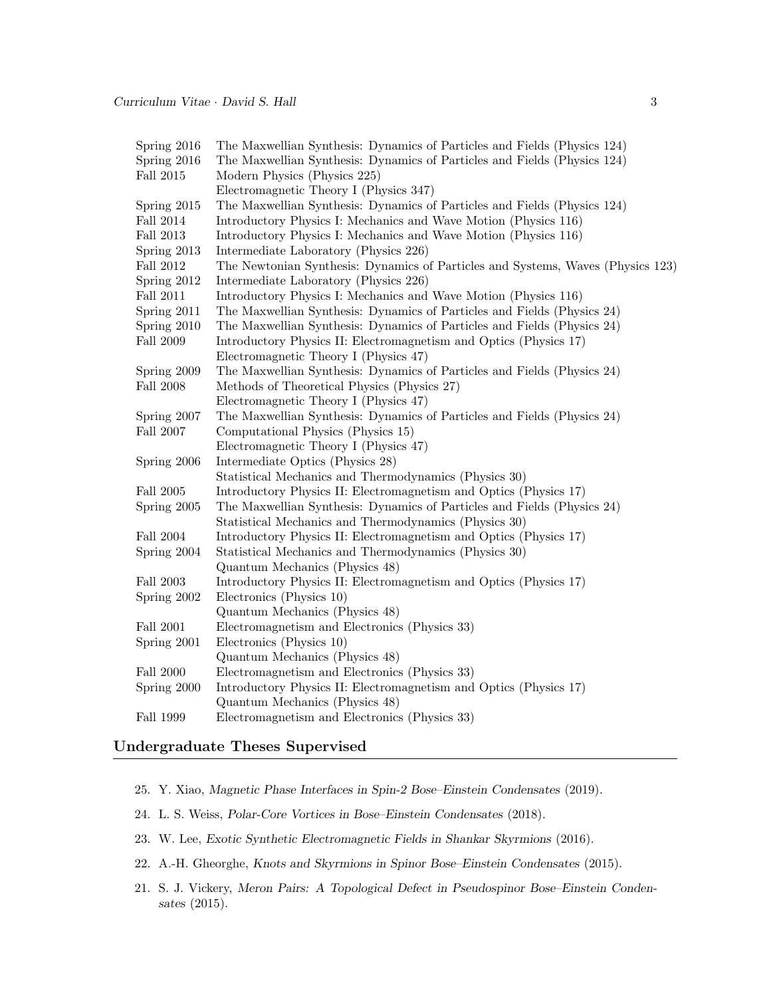| Spring 2016      | The Maxwellian Synthesis: Dynamics of Particles and Fields (Physics 124)        |  |  |  |  |
|------------------|---------------------------------------------------------------------------------|--|--|--|--|
| Spring 2016      | The Maxwellian Synthesis: Dynamics of Particles and Fields (Physics 124)        |  |  |  |  |
| Fall 2015        | Modern Physics (Physics 225)                                                    |  |  |  |  |
|                  | Electromagnetic Theory I (Physics 347)                                          |  |  |  |  |
| Spring 2015      | The Maxwellian Synthesis: Dynamics of Particles and Fields (Physics 124)        |  |  |  |  |
| Fall 2014        | Introductory Physics I: Mechanics and Wave Motion (Physics 116)                 |  |  |  |  |
| Fall 2013        | Introductory Physics I: Mechanics and Wave Motion (Physics 116)                 |  |  |  |  |
| Spring 2013      | Intermediate Laboratory (Physics 226)                                           |  |  |  |  |
| Fall 2012        | The Newtonian Synthesis: Dynamics of Particles and Systems, Waves (Physics 123) |  |  |  |  |
| Spring 2012      | Intermediate Laboratory (Physics 226)                                           |  |  |  |  |
| Fall 2011        | Introductory Physics I: Mechanics and Wave Motion (Physics 116)                 |  |  |  |  |
| Spring 2011      | The Maxwellian Synthesis: Dynamics of Particles and Fields (Physics 24)         |  |  |  |  |
| Spring 2010      | The Maxwellian Synthesis: Dynamics of Particles and Fields (Physics 24)         |  |  |  |  |
| Fall 2009        | Introductory Physics II: Electromagnetism and Optics (Physics 17)               |  |  |  |  |
|                  | Electromagnetic Theory I (Physics 47)                                           |  |  |  |  |
| Spring 2009      | The Maxwellian Synthesis: Dynamics of Particles and Fields (Physics 24)         |  |  |  |  |
| <b>Fall 2008</b> | Methods of Theoretical Physics (Physics 27)                                     |  |  |  |  |
|                  | Electromagnetic Theory I (Physics 47)                                           |  |  |  |  |
| Spring 2007      | The Maxwellian Synthesis: Dynamics of Particles and Fields (Physics 24)         |  |  |  |  |
| Fall 2007        | Computational Physics (Physics 15)                                              |  |  |  |  |
|                  | Electromagnetic Theory I (Physics 47)                                           |  |  |  |  |
| Spring 2006      | Intermediate Optics (Physics 28)                                                |  |  |  |  |
|                  | Statistical Mechanics and Thermodynamics (Physics 30)                           |  |  |  |  |
| Fall 2005        | Introductory Physics II: Electromagnetism and Optics (Physics 17)               |  |  |  |  |
| Spring 2005      | The Maxwellian Synthesis: Dynamics of Particles and Fields (Physics 24)         |  |  |  |  |
|                  | Statistical Mechanics and Thermodynamics (Physics 30)                           |  |  |  |  |
| Fall 2004        | Introductory Physics II: Electromagnetism and Optics (Physics 17)               |  |  |  |  |
| Spring 2004      | Statistical Mechanics and Thermodynamics (Physics 30)                           |  |  |  |  |
|                  | Quantum Mechanics (Physics 48)                                                  |  |  |  |  |
| Fall 2003        | Introductory Physics II: Electromagnetism and Optics (Physics 17)               |  |  |  |  |
| Spring 2002      | Electronics (Physics 10)                                                        |  |  |  |  |
|                  | Quantum Mechanics (Physics 48)                                                  |  |  |  |  |
| Fall 2001        | Electromagnetism and Electronics (Physics 33)                                   |  |  |  |  |
| Spring 2001      | Electronics (Physics 10)                                                        |  |  |  |  |
|                  | Quantum Mechanics (Physics 48)                                                  |  |  |  |  |
| <b>Fall 2000</b> | Electromagnetism and Electronics (Physics 33)                                   |  |  |  |  |
| Spring 2000      | Introductory Physics II: Electromagnetism and Optics (Physics 17)               |  |  |  |  |
|                  | Quantum Mechanics (Physics 48)                                                  |  |  |  |  |
| Fall 1999        | Electromagnetism and Electronics (Physics 33)                                   |  |  |  |  |

# Undergraduate Theses Supervised

- 25. Y. Xiao, Magnetic Phase Interfaces in Spin-2 Bose–Einstein Condensates (2019).
- 24. L. S. Weiss, Polar-Core Vortices in Bose–Einstein Condensates (2018).
- 23. W. Lee, Exotic Synthetic Electromagnetic Fields in Shankar Skyrmions (2016).
- 22. A.-H. Gheorghe, Knots and Skyrmions in Spinor Bose–Einstein Condensates (2015).
- 21. S. J. Vickery, Meron Pairs: A Topological Defect in Pseudospinor Bose–Einstein Condensates (2015).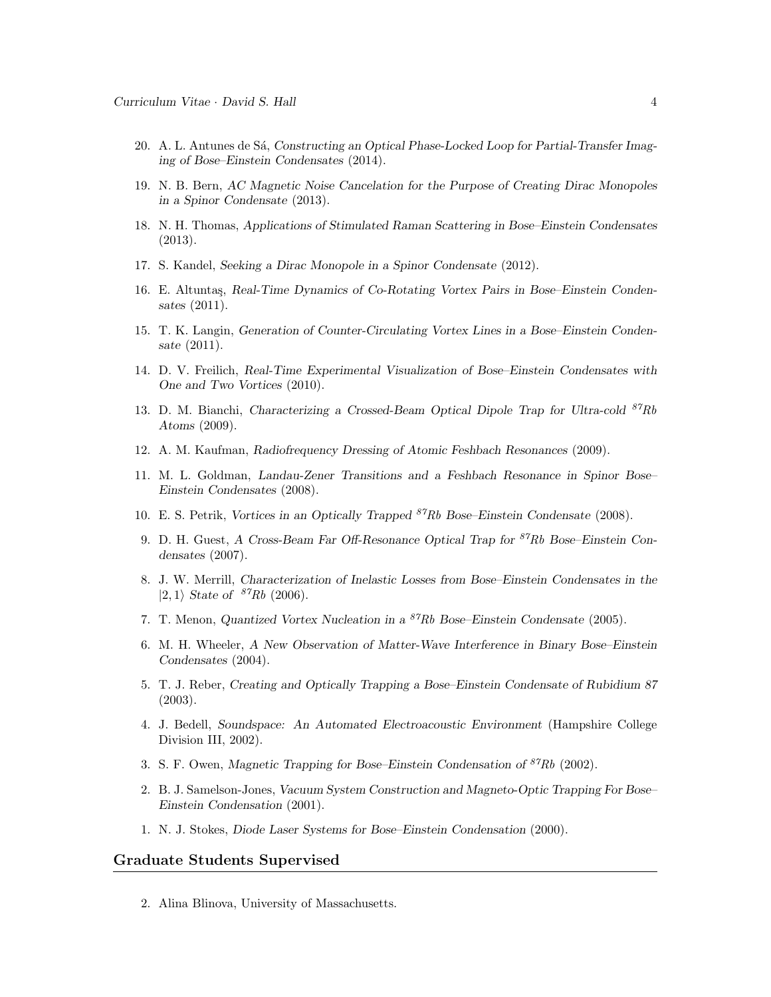- 20. A. L. Antunes de Sá, Constructing an Optical Phase-Locked Loop for Partial-Transfer Imaging of Bose–Einstein Condensates (2014).
- 19. N. B. Bern, AC Magnetic Noise Cancelation for the Purpose of Creating Dirac Monopoles in a Spinor Condensate (2013).
- 18. N. H. Thomas, Applications of Stimulated Raman Scattering in Bose–Einstein Condensates (2013).
- 17. S. Kandel, Seeking a Dirac Monopole in a Spinor Condensate (2012).
- 16. E. Altuntaş, Real-Time Dynamics of Co-Rotating Vortex Pairs in Bose–Einstein Condensates (2011).
- 15. T. K. Langin, Generation of Counter-Circulating Vortex Lines in a Bose–Einstein Condensate (2011).
- 14. D. V. Freilich, Real-Time Experimental Visualization of Bose–Einstein Condensates with One and Two Vortices (2010).
- 13. D. M. Bianchi, Characterizing a Crossed-Beam Optical Dipole Trap for Ultra-cold  $87Rb$ Atoms (2009).
- 12. A. M. Kaufman, Radiofrequency Dressing of Atomic Feshbach Resonances (2009).
- 11. M. L. Goldman, Landau-Zener Transitions and a Feshbach Resonance in Spinor Bose– Einstein Condensates (2008).
- 10. E. S. Petrik, Vortices in an Optically Trapped  $^{87}Rb$  Bose–Einstein Condensate (2008).
- 9. D. H. Guest, A Cross-Beam Far Off-Resonance Optical Trap for <sup>87</sup>Rb Bose–Einstein Condensates (2007).
- 8. J. W. Merrill, Characterization of Inelastic Losses from Bose–Einstein Condensates in the  $|2, 1\rangle$  State of  $87Rb$  (2006).
- 7. T. Menon, Quantized Vortex Nucleation in a  ${}^{87}Rb$  Bose–Einstein Condensate (2005).
- 6. M. H. Wheeler, A New Observation of Matter-Wave Interference in Binary Bose–Einstein Condensates (2004).
- 5. T. J. Reber, Creating and Optically Trapping a Bose–Einstein Condensate of Rubidium 87 (2003).
- 4. J. Bedell, Soundspace: An Automated Electroacoustic Environment (Hampshire College Division III, 2002).
- 3. S. F. Owen, Magnetic Trapping for Bose–Einstein Condensation of  $^{87}Rb$  (2002).
- 2. B. J. Samelson-Jones, Vacuum System Construction and Magneto-Optic Trapping For Bose– Einstein Condensation (2001).
- 1. N. J. Stokes, Diode Laser Systems for Bose–Einstein Condensation (2000).

# Graduate Students Supervised

2. Alina Blinova, University of Massachusetts.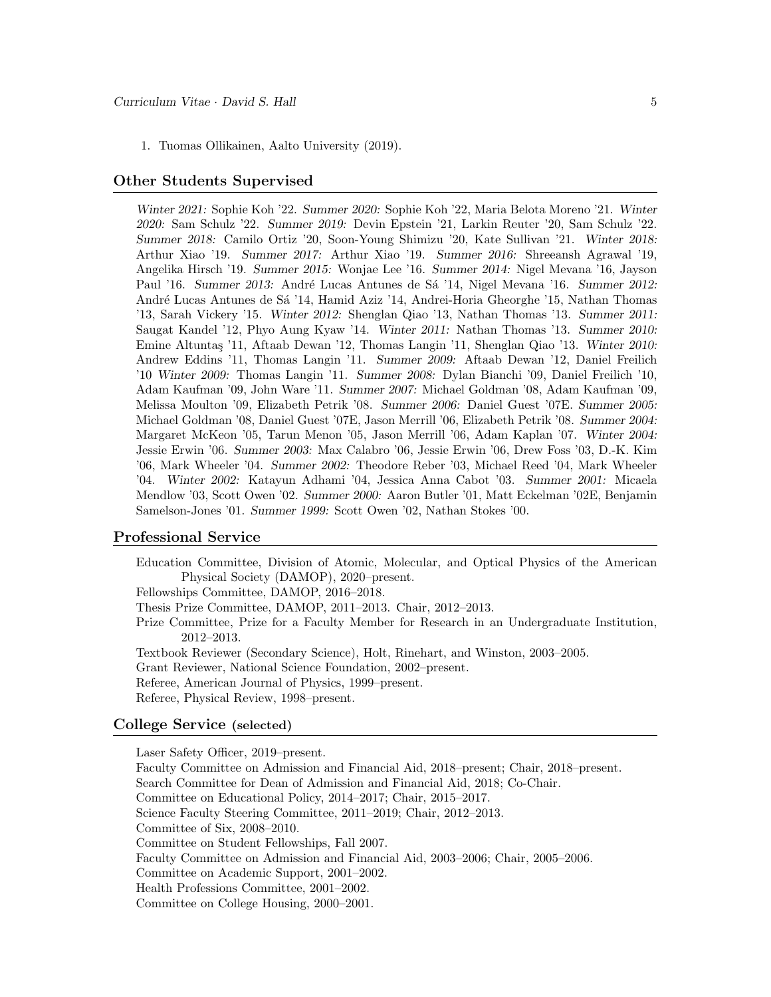1. Tuomas Ollikainen, Aalto University (2019).

#### Other Students Supervised

Winter 2021: Sophie Koh '22. Summer 2020: Sophie Koh '22, Maria Belota Moreno '21. Winter 2020: Sam Schulz '22. Summer 2019: Devin Epstein '21, Larkin Reuter '20, Sam Schulz '22. Summer 2018: Camilo Ortiz '20, Soon-Young Shimizu '20, Kate Sullivan '21. Winter 2018: Arthur Xiao '19. Summer 2017: Arthur Xiao '19. Summer 2016: Shreeansh Agrawal '19, Angelika Hirsch '19. Summer 2015: Wonjae Lee '16. Summer 2014: Nigel Mevana '16, Jayson Paul '16. Summer 2013: André Lucas Antunes de Sá '14, Nigel Mevana '16. Summer 2012: André Lucas Antunes de Sá '14, Hamid Aziz '14, Andrei-Horia Gheorghe '15, Nathan Thomas '13, Sarah Vickery '15. Winter 2012: Shenglan Qiao '13, Nathan Thomas '13. Summer 2011: Saugat Kandel '12, Phyo Aung Kyaw '14. Winter 2011: Nathan Thomas '13. Summer 2010: Emine Altuntaş '11, Aftaab Dewan '12, Thomas Langin '11, Shenglan Qiao '13. Winter 2010: Andrew Eddins '11, Thomas Langin '11. Summer 2009: Aftaab Dewan '12, Daniel Freilich '10 Winter 2009: Thomas Langin '11. Summer 2008: Dylan Bianchi '09, Daniel Freilich '10, Adam Kaufman '09, John Ware '11. Summer 2007: Michael Goldman '08, Adam Kaufman '09, Melissa Moulton '09, Elizabeth Petrik '08. Summer 2006: Daniel Guest '07E. Summer 2005: Michael Goldman '08, Daniel Guest '07E, Jason Merrill '06, Elizabeth Petrik '08. Summer 2004: Margaret McKeon '05, Tarun Menon '05, Jason Merrill '06, Adam Kaplan '07. Winter 2004: Jessie Erwin '06. Summer 2003: Max Calabro '06, Jessie Erwin '06, Drew Foss '03, D.-K. Kim '06, Mark Wheeler '04. Summer 2002: Theodore Reber '03, Michael Reed '04, Mark Wheeler '04. Winter 2002: Katayun Adhami '04, Jessica Anna Cabot '03. Summer 2001: Micaela Mendlow '03, Scott Owen '02. Summer 2000: Aaron Butler '01, Matt Eckelman '02E, Benjamin Samelson-Jones '01. Summer 1999: Scott Owen '02, Nathan Stokes '00.

#### Professional Service

Education Committee, Division of Atomic, Molecular, and Optical Physics of the American Physical Society (DAMOP), 2020–present.

Fellowships Committee, DAMOP, 2016–2018.

Thesis Prize Committee, DAMOP, 2011–2013. Chair, 2012–2013.

- Prize Committee, Prize for a Faculty Member for Research in an Undergraduate Institution, 2012–2013.
- Textbook Reviewer (Secondary Science), Holt, Rinehart, and Winston, 2003–2005.
- Grant Reviewer, National Science Foundation, 2002–present.

Referee, American Journal of Physics, 1999–present.

Referee, Physical Review, 1998–present.

#### College Service (selected)

Laser Safety Officer, 2019–present. Faculty Committee on Admission and Financial Aid, 2018–present; Chair, 2018–present. Search Committee for Dean of Admission and Financial Aid, 2018; Co-Chair. Committee on Educational Policy, 2014–2017; Chair, 2015–2017. Science Faculty Steering Committee, 2011–2019; Chair, 2012–2013. Committee of Six, 2008–2010. Committee on Student Fellowships, Fall 2007. Faculty Committee on Admission and Financial Aid, 2003–2006; Chair, 2005–2006. Committee on Academic Support, 2001–2002. Health Professions Committee, 2001–2002. Committee on College Housing, 2000–2001.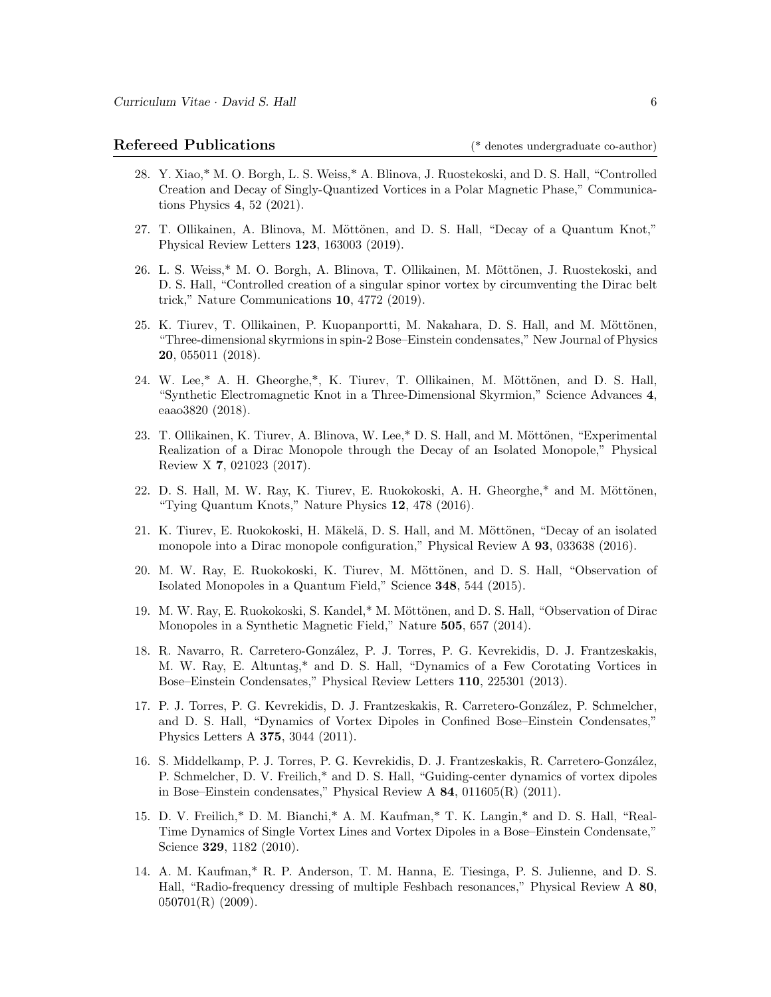# Refereed Publications (\* denotes undergraduate co-author)

- 28. Y. Xiao,\* M. O. Borgh, L. S. Weiss,\* A. Blinova, J. Ruostekoski, and D. S. Hall, "Controlled Creation and Decay of Singly-Quantized Vortices in a Polar Magnetic Phase," Communications Physics 4, 52 (2021).
- 27. T. Ollikainen, A. Blinova, M. Möttönen, and D. S. Hall, "Decay of a Quantum Knot," Physical Review Letters 123, 163003 (2019).
- 26. L. S. Weiss,\* M. O. Borgh, A. Blinova, T. Ollikainen, M. Möttönen, J. Ruostekoski, and D. S. Hall, "Controlled creation of a singular spinor vortex by circumventing the Dirac belt trick," Nature Communications 10, 4772 (2019).
- 25. K. Tiurev, T. Ollikainen, P. Kuopanportti, M. Nakahara, D. S. Hall, and M. Möttönen, "Three-dimensional skyrmions in spin-2 Bose–Einstein condensates," New Journal of Physics 20, 055011 (2018).
- 24. W. Lee,\* A. H. Gheorghe,\*, K. Tiurev, T. Ollikainen, M. Möttönen, and D. S. Hall, "Synthetic Electromagnetic Knot in a Three-Dimensional Skyrmion," Science Advances 4, eaao3820 (2018).
- 23. T. Ollikainen, K. Tiurev, A. Blinova, W. Lee,\* D. S. Hall, and M. Möttönen, "Experimental Realization of a Dirac Monopole through the Decay of an Isolated Monopole," Physical Review X 7, 021023 (2017).
- 22. D. S. Hall, M. W. Ray, K. Tiurev, E. Ruokokoski, A. H. Gheorghe,\* and M. Möttönen, "Tying Quantum Knots," Nature Physics 12, 478 (2016).
- 21. K. Tiurev, E. Ruokokoski, H. Mäkelä, D. S. Hall, and M. Möttönen, "Decay of an isolated monopole into a Dirac monopole configuration," Physical Review A 93, 033638 (2016).
- 20. M. W. Ray, E. Ruokokoski, K. Tiurev, M. Möttönen, and D. S. Hall, "Observation of Isolated Monopoles in a Quantum Field," Science 348, 544 (2015).
- 19. M. W. Ray, E. Ruokokoski, S. Kandel,\* M. Möttönen, and D. S. Hall, "Observation of Dirac Monopoles in a Synthetic Magnetic Field," Nature 505, 657 (2014).
- 18. R. Navarro, R. Carretero-González, P. J. Torres, P. G. Kevrekidis, D. J. Frantzeskakis, M. W. Ray, E. Altunta¸s,\* and D. S. Hall, "Dynamics of a Few Corotating Vortices in Bose–Einstein Condensates," Physical Review Letters 110, 225301 (2013).
- 17. P. J. Torres, P. G. Kevrekidis, D. J. Frantzeskakis, R. Carretero-Gonz´alez, P. Schmelcher, and D. S. Hall, "Dynamics of Vortex Dipoles in Confined Bose–Einstein Condensates," Physics Letters A 375, 3044 (2011).
- 16. S. Middelkamp, P. J. Torres, P. G. Kevrekidis, D. J. Frantzeskakis, R. Carretero-González, P. Schmelcher, D. V. Freilich,\* and D. S. Hall, "Guiding-center dynamics of vortex dipoles in Bose–Einstein condensates," Physical Review A 84, 011605(R) (2011).
- 15. D. V. Freilich,\* D. M. Bianchi,\* A. M. Kaufman,\* T. K. Langin,\* and D. S. Hall, "Real-Time Dynamics of Single Vortex Lines and Vortex Dipoles in a Bose–Einstein Condensate," Science **329**, 1182 (2010).
- 14. A. M. Kaufman,\* R. P. Anderson, T. M. Hanna, E. Tiesinga, P. S. Julienne, and D. S. Hall, "Radio-frequency dressing of multiple Feshbach resonances," Physical Review A 80,  $050701(R)$  (2009).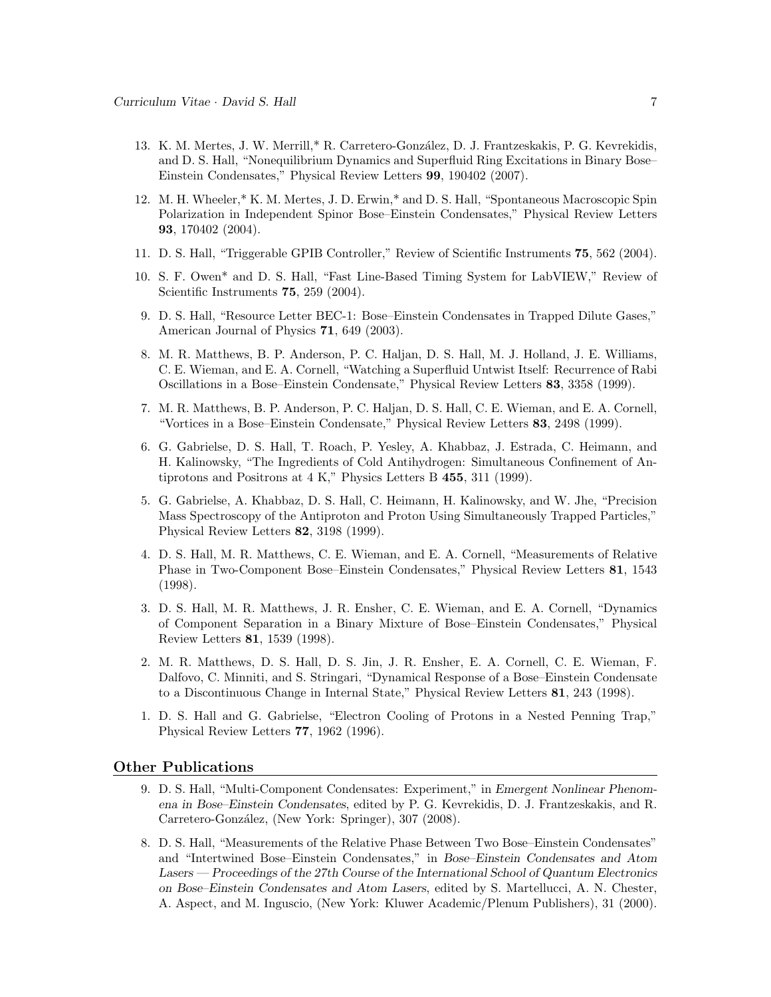- 13. K. M. Mertes, J. W. Merrill,\* R. Carretero-González, D. J. Frantzeskakis, P. G. Kevrekidis, and D. S. Hall, "Nonequilibrium Dynamics and Superfluid Ring Excitations in Binary Bose– Einstein Condensates," Physical Review Letters 99, 190402 (2007).
- 12. M. H. Wheeler,\* K. M. Mertes, J. D. Erwin,\* and D. S. Hall, "Spontaneous Macroscopic Spin Polarization in Independent Spinor Bose–Einstein Condensates," Physical Review Letters 93, 170402 (2004).
- 11. D. S. Hall, "Triggerable GPIB Controller," Review of Scientific Instruments 75, 562 (2004).
- 10. S. F. Owen\* and D. S. Hall, "Fast Line-Based Timing System for LabVIEW," Review of Scientific Instruments **75**, 259 (2004).
- 9. D. S. Hall, "Resource Letter BEC-1: Bose–Einstein Condensates in Trapped Dilute Gases," American Journal of Physics 71, 649 (2003).
- 8. M. R. Matthews, B. P. Anderson, P. C. Haljan, D. S. Hall, M. J. Holland, J. E. Williams, C. E. Wieman, and E. A. Cornell, "Watching a Superfluid Untwist Itself: Recurrence of Rabi Oscillations in a Bose–Einstein Condensate," Physical Review Letters 83, 3358 (1999).
- 7. M. R. Matthews, B. P. Anderson, P. C. Haljan, D. S. Hall, C. E. Wieman, and E. A. Cornell, "Vortices in a Bose–Einstein Condensate," Physical Review Letters 83, 2498 (1999).
- 6. G. Gabrielse, D. S. Hall, T. Roach, P. Yesley, A. Khabbaz, J. Estrada, C. Heimann, and H. Kalinowsky, "The Ingredients of Cold Antihydrogen: Simultaneous Confinement of Antiprotons and Positrons at 4 K," Physics Letters B 455, 311 (1999).
- 5. G. Gabrielse, A. Khabbaz, D. S. Hall, C. Heimann, H. Kalinowsky, and W. Jhe, "Precision Mass Spectroscopy of the Antiproton and Proton Using Simultaneously Trapped Particles," Physical Review Letters 82, 3198 (1999).
- 4. D. S. Hall, M. R. Matthews, C. E. Wieman, and E. A. Cornell, "Measurements of Relative Phase in Two-Component Bose–Einstein Condensates," Physical Review Letters 81, 1543 (1998).
- 3. D. S. Hall, M. R. Matthews, J. R. Ensher, C. E. Wieman, and E. A. Cornell, "Dynamics of Component Separation in a Binary Mixture of Bose–Einstein Condensates," Physical Review Letters 81, 1539 (1998).
- 2. M. R. Matthews, D. S. Hall, D. S. Jin, J. R. Ensher, E. A. Cornell, C. E. Wieman, F. Dalfovo, C. Minniti, and S. Stringari, "Dynamical Response of a Bose–Einstein Condensate to a Discontinuous Change in Internal State," Physical Review Letters 81, 243 (1998).
- 1. D. S. Hall and G. Gabrielse, "Electron Cooling of Protons in a Nested Penning Trap," Physical Review Letters 77, 1962 (1996).

#### Other Publications

- 9. D. S. Hall, "Multi-Component Condensates: Experiment," in Emergent Nonlinear Phenomena in Bose–Einstein Condensates, edited by P. G. Kevrekidis, D. J. Frantzeskakis, and R. Carretero-González, (New York: Springer), 307 (2008).
- 8. D. S. Hall, "Measurements of the Relative Phase Between Two Bose–Einstein Condensates" and "Intertwined Bose–Einstein Condensates," in Bose–Einstein Condensates and Atom Lasers — Proceedings of the 27th Course of the International School of Quantum Electronics on Bose–Einstein Condensates and Atom Lasers, edited by S. Martellucci, A. N. Chester, A. Aspect, and M. Inguscio, (New York: Kluwer Academic/Plenum Publishers), 31 (2000).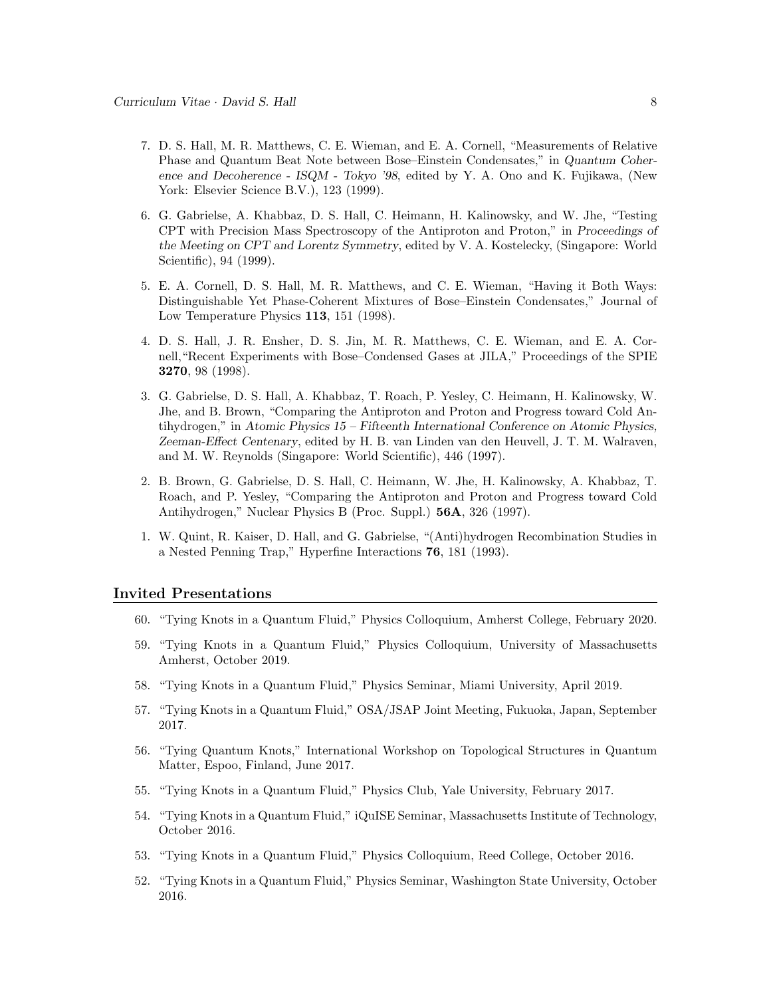- 7. D. S. Hall, M. R. Matthews, C. E. Wieman, and E. A. Cornell, "Measurements of Relative Phase and Quantum Beat Note between Bose–Einstein Condensates," in Quantum Coherence and Decoherence - ISQM - Tokyo '98, edited by Y. A. Ono and K. Fujikawa, (New York: Elsevier Science B.V.), 123 (1999).
- 6. G. Gabrielse, A. Khabbaz, D. S. Hall, C. Heimann, H. Kalinowsky, and W. Jhe, "Testing CPT with Precision Mass Spectroscopy of the Antiproton and Proton," in Proceedings of the Meeting on CPT and Lorentz Symmetry, edited by V. A. Kostelecky, (Singapore: World Scientific), 94 (1999).
- 5. E. A. Cornell, D. S. Hall, M. R. Matthews, and C. E. Wieman, "Having it Both Ways: Distinguishable Yet Phase-Coherent Mixtures of Bose–Einstein Condensates," Journal of Low Temperature Physics 113, 151 (1998).
- 4. D. S. Hall, J. R. Ensher, D. S. Jin, M. R. Matthews, C. E. Wieman, and E. A. Cornell,"Recent Experiments with Bose–Condensed Gases at JILA," Proceedings of the SPIE 3270, 98 (1998).
- 3. G. Gabrielse, D. S. Hall, A. Khabbaz, T. Roach, P. Yesley, C. Heimann, H. Kalinowsky, W. Jhe, and B. Brown, "Comparing the Antiproton and Proton and Progress toward Cold Antihydrogen," in Atomic Physics 15 – Fifteenth International Conference on Atomic Physics, Zeeman-Effect Centenary, edited by H. B. van Linden van den Heuvell, J. T. M. Walraven, and M. W. Reynolds (Singapore: World Scientific), 446 (1997).
- 2. B. Brown, G. Gabrielse, D. S. Hall, C. Heimann, W. Jhe, H. Kalinowsky, A. Khabbaz, T. Roach, and P. Yesley, "Comparing the Antiproton and Proton and Progress toward Cold Antihydrogen," Nuclear Physics B (Proc. Suppl.) 56A, 326 (1997).
- 1. W. Quint, R. Kaiser, D. Hall, and G. Gabrielse, "(Anti)hydrogen Recombination Studies in a Nested Penning Trap," Hyperfine Interactions 76, 181 (1993).

#### Invited Presentations

- 60. "Tying Knots in a Quantum Fluid," Physics Colloquium, Amherst College, February 2020.
- 59. "Tying Knots in a Quantum Fluid," Physics Colloquium, University of Massachusetts Amherst, October 2019.
- 58. "Tying Knots in a Quantum Fluid," Physics Seminar, Miami University, April 2019.
- 57. "Tying Knots in a Quantum Fluid," OSA/JSAP Joint Meeting, Fukuoka, Japan, September 2017.
- 56. "Tying Quantum Knots," International Workshop on Topological Structures in Quantum Matter, Espoo, Finland, June 2017.
- 55. "Tying Knots in a Quantum Fluid," Physics Club, Yale University, February 2017.
- 54. "Tying Knots in a Quantum Fluid," iQuISE Seminar, Massachusetts Institute of Technology, October 2016.
- 53. "Tying Knots in a Quantum Fluid," Physics Colloquium, Reed College, October 2016.
- 52. "Tying Knots in a Quantum Fluid," Physics Seminar, Washington State University, October 2016.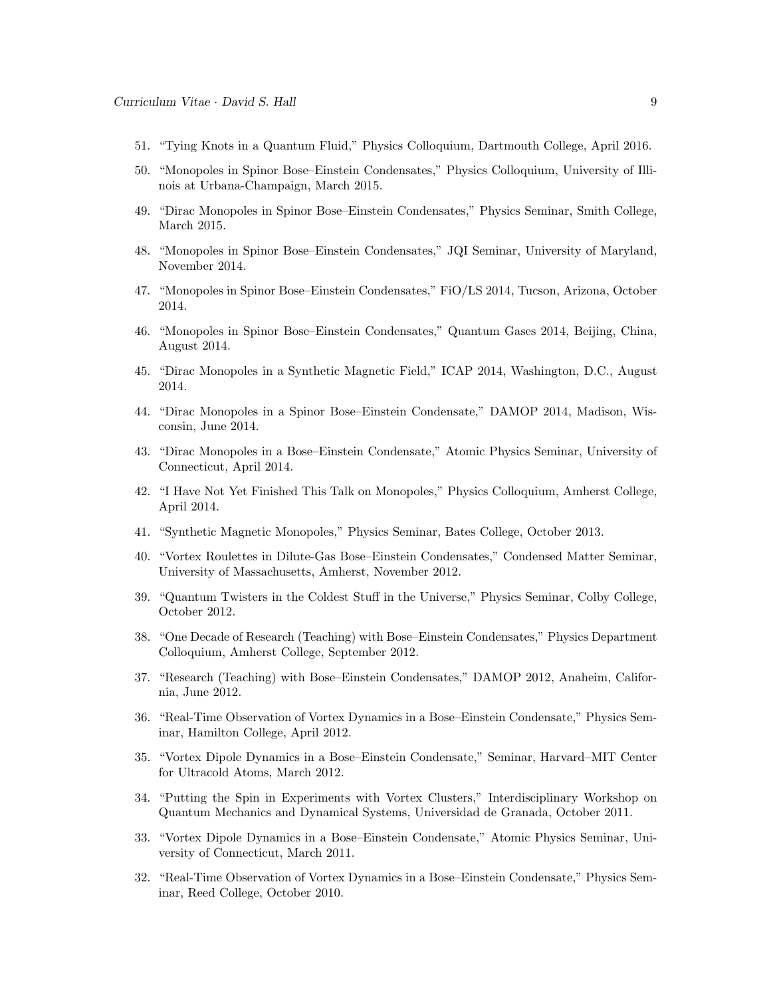- 51. "Tying Knots in a Quantum Fluid," Physics Colloquium, Dartmouth College, April 2016.
- 50. "Monopoles in Spinor Bose–Einstein Condensates," Physics Colloquium, University of Illinois at Urbana-Champaign, March 2015.
- 49. "Dirac Monopoles in Spinor Bose–Einstein Condensates," Physics Seminar, Smith College, March 2015.
- 48. "Monopoles in Spinor Bose–Einstein Condensates," JQI Seminar, University of Maryland, November 2014.
- 47. "Monopoles in Spinor Bose–Einstein Condensates," FiO/LS 2014, Tucson, Arizona, October 2014.
- 46. "Monopoles in Spinor Bose–Einstein Condensates," Quantum Gases 2014, Beijing, China, August 2014.
- 45. "Dirac Monopoles in a Synthetic Magnetic Field," ICAP 2014, Washington, D.C., August 2014.
- 44. "Dirac Monopoles in a Spinor Bose–Einstein Condensate," DAMOP 2014, Madison, Wisconsin, June 2014.
- 43. "Dirac Monopoles in a Bose–Einstein Condensate," Atomic Physics Seminar, University of Connecticut, April 2014.
- 42. "I Have Not Yet Finished This Talk on Monopoles," Physics Colloquium, Amherst College, April 2014.
- 41. "Synthetic Magnetic Monopoles," Physics Seminar, Bates College, October 2013.
- 40. "Vortex Roulettes in Dilute-Gas Bose–Einstein Condensates," Condensed Matter Seminar, University of Massachusetts, Amherst, November 2012.
- 39. "Quantum Twisters in the Coldest Stuff in the Universe," Physics Seminar, Colby College, October 2012.
- 38. "One Decade of Research (Teaching) with Bose–Einstein Condensates," Physics Department Colloquium, Amherst College, September 2012.
- 37. "Research (Teaching) with Bose–Einstein Condensates," DAMOP 2012, Anaheim, California, June 2012.
- 36. "Real-Time Observation of Vortex Dynamics in a Bose–Einstein Condensate," Physics Seminar, Hamilton College, April 2012.
- 35. "Vortex Dipole Dynamics in a Bose–Einstein Condensate," Seminar, Harvard–MIT Center for Ultracold Atoms, March 2012.
- 34. "Putting the Spin in Experiments with Vortex Clusters," Interdisciplinary Workshop on Quantum Mechanics and Dynamical Systems, Universidad de Granada, October 2011.
- 33. "Vortex Dipole Dynamics in a Bose–Einstein Condensate," Atomic Physics Seminar, University of Connecticut, March 2011.
- 32. "Real-Time Observation of Vortex Dynamics in a Bose–Einstein Condensate," Physics Seminar, Reed College, October 2010.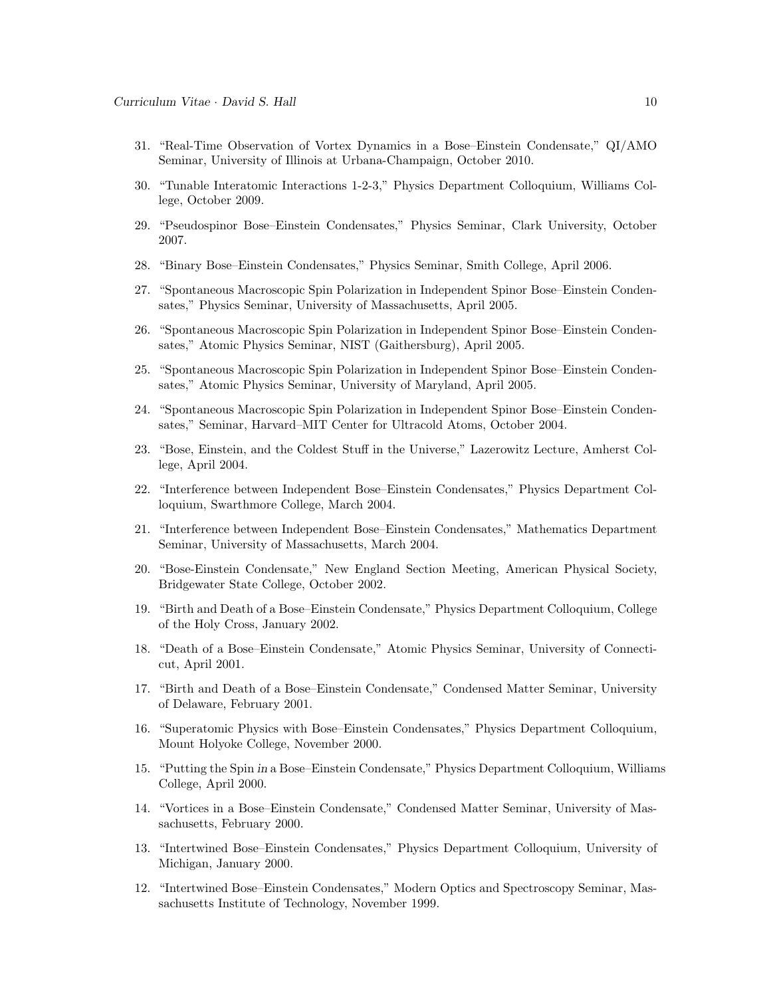- 31. "Real-Time Observation of Vortex Dynamics in a Bose–Einstein Condensate," QI/AMO Seminar, University of Illinois at Urbana-Champaign, October 2010.
- 30. "Tunable Interatomic Interactions 1-2-3," Physics Department Colloquium, Williams College, October 2009.
- 29. "Pseudospinor Bose–Einstein Condensates," Physics Seminar, Clark University, October 2007.
- 28. "Binary Bose–Einstein Condensates," Physics Seminar, Smith College, April 2006.
- 27. "Spontaneous Macroscopic Spin Polarization in Independent Spinor Bose–Einstein Condensates," Physics Seminar, University of Massachusetts, April 2005.
- 26. "Spontaneous Macroscopic Spin Polarization in Independent Spinor Bose–Einstein Condensates," Atomic Physics Seminar, NIST (Gaithersburg), April 2005.
- 25. "Spontaneous Macroscopic Spin Polarization in Independent Spinor Bose–Einstein Condensates," Atomic Physics Seminar, University of Maryland, April 2005.
- 24. "Spontaneous Macroscopic Spin Polarization in Independent Spinor Bose–Einstein Condensates," Seminar, Harvard–MIT Center for Ultracold Atoms, October 2004.
- 23. "Bose, Einstein, and the Coldest Stuff in the Universe," Lazerowitz Lecture, Amherst College, April 2004.
- 22. "Interference between Independent Bose–Einstein Condensates," Physics Department Colloquium, Swarthmore College, March 2004.
- 21. "Interference between Independent Bose–Einstein Condensates," Mathematics Department Seminar, University of Massachusetts, March 2004.
- 20. "Bose-Einstein Condensate," New England Section Meeting, American Physical Society, Bridgewater State College, October 2002.
- 19. "Birth and Death of a Bose–Einstein Condensate," Physics Department Colloquium, College of the Holy Cross, January 2002.
- 18. "Death of a Bose–Einstein Condensate," Atomic Physics Seminar, University of Connecticut, April 2001.
- 17. "Birth and Death of a Bose–Einstein Condensate," Condensed Matter Seminar, University of Delaware, February 2001.
- 16. "Superatomic Physics with Bose–Einstein Condensates," Physics Department Colloquium, Mount Holyoke College, November 2000.
- 15. "Putting the Spin in a Bose–Einstein Condensate," Physics Department Colloquium, Williams College, April 2000.
- 14. "Vortices in a Bose–Einstein Condensate," Condensed Matter Seminar, University of Massachusetts, February 2000.
- 13. "Intertwined Bose–Einstein Condensates," Physics Department Colloquium, University of Michigan, January 2000.
- 12. "Intertwined Bose–Einstein Condensates," Modern Optics and Spectroscopy Seminar, Massachusetts Institute of Technology, November 1999.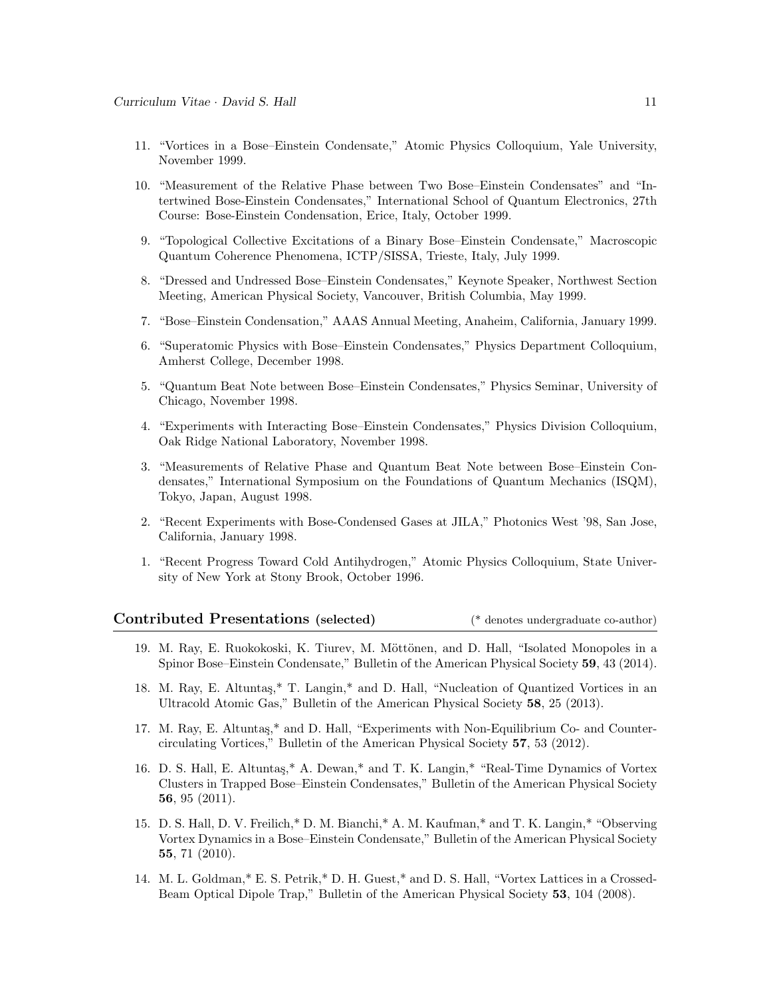- 11. "Vortices in a Bose–Einstein Condensate," Atomic Physics Colloquium, Yale University, November 1999.
- 10. "Measurement of the Relative Phase between Two Bose–Einstein Condensates" and "Intertwined Bose-Einstein Condensates," International School of Quantum Electronics, 27th Course: Bose-Einstein Condensation, Erice, Italy, October 1999.
- 9. "Topological Collective Excitations of a Binary Bose–Einstein Condensate," Macroscopic Quantum Coherence Phenomena, ICTP/SISSA, Trieste, Italy, July 1999.
- 8. "Dressed and Undressed Bose–Einstein Condensates," Keynote Speaker, Northwest Section Meeting, American Physical Society, Vancouver, British Columbia, May 1999.
- 7. "Bose–Einstein Condensation," AAAS Annual Meeting, Anaheim, California, January 1999.
- 6. "Superatomic Physics with Bose–Einstein Condensates," Physics Department Colloquium, Amherst College, December 1998.
- 5. "Quantum Beat Note between Bose–Einstein Condensates," Physics Seminar, University of Chicago, November 1998.
- 4. "Experiments with Interacting Bose–Einstein Condensates," Physics Division Colloquium, Oak Ridge National Laboratory, November 1998.
- 3. "Measurements of Relative Phase and Quantum Beat Note between Bose–Einstein Condensates," International Symposium on the Foundations of Quantum Mechanics (ISQM), Tokyo, Japan, August 1998.
- 2. "Recent Experiments with Bose-Condensed Gases at JILA," Photonics West '98, San Jose, California, January 1998.
- 1. "Recent Progress Toward Cold Antihydrogen," Atomic Physics Colloquium, State University of New York at Stony Brook, October 1996.

| Contributed Presentations (selected) |  |  | (* denotes undergraduate co-author) |  |
|--------------------------------------|--|--|-------------------------------------|--|
|--------------------------------------|--|--|-------------------------------------|--|

- 19. M. Ray, E. Ruokokoski, K. Tiurev, M. Möttönen, and D. Hall, "Isolated Monopoles in a Spinor Bose–Einstein Condensate," Bulletin of the American Physical Society 59, 43 (2014).
- 18. M. Ray, E. Altuntas,\* T. Langin,\* and D. Hall, "Nucleation of Quantized Vortices in an Ultracold Atomic Gas," Bulletin of the American Physical Society 58, 25 (2013).
- 17. M. Ray, E. Altuntas,\* and D. Hall, "Experiments with Non-Equilibrium Co- and Countercirculating Vortices," Bulletin of the American Physical Society 57, 53 (2012).
- 16. D. S. Hall, E. Altunta¸s,\* A. Dewan,\* and T. K. Langin,\* "Real-Time Dynamics of Vortex Clusters in Trapped Bose–Einstein Condensates," Bulletin of the American Physical Society 56, 95 (2011).
- 15. D. S. Hall, D. V. Freilich,\* D. M. Bianchi,\* A. M. Kaufman,\* and T. K. Langin,\* "Observing Vortex Dynamics in a Bose–Einstein Condensate," Bulletin of the American Physical Society 55, 71 (2010).
- 14. M. L. Goldman,\* E. S. Petrik,\* D. H. Guest,\* and D. S. Hall, "Vortex Lattices in a Crossed-Beam Optical Dipole Trap," Bulletin of the American Physical Society 53, 104 (2008).